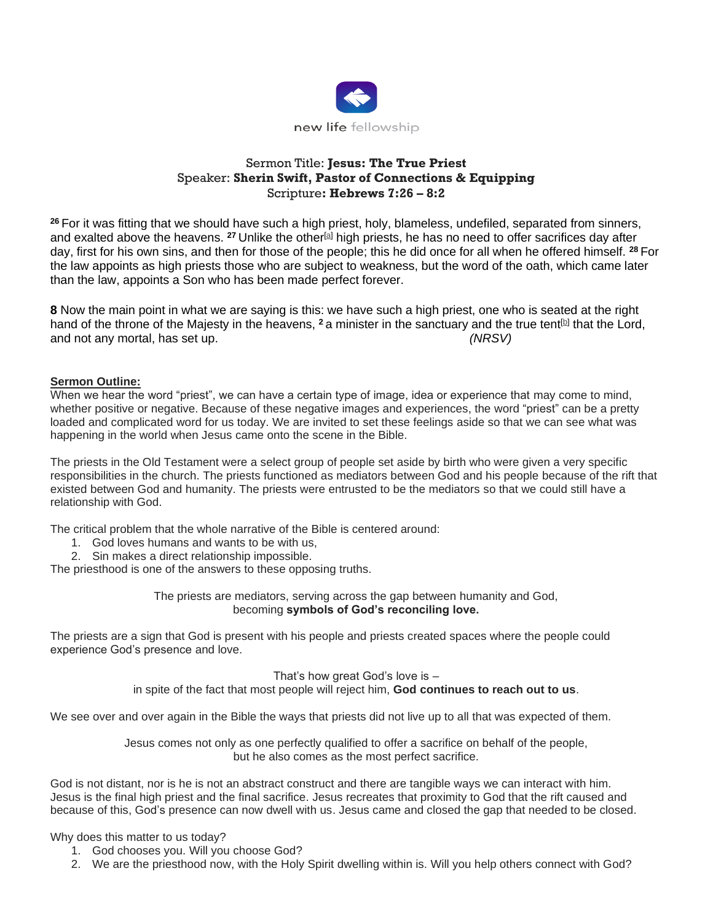

## Sermon Title: **Jesus: The True Priest** Speaker: **Sherin Swift, Pastor of Connections & Equipping** Scripture**: Hebrews 7:26 – 8:2**

**<sup>26</sup>** For it was fitting that we should have such a high priest, holy, blameless, undefiled, separated from sinners, and exalted above the heavens. <sup>27</sup> Unlike the other<sup>[\[a\]](https://www.biblegateway.com/passage/?search=hebrews+7%3A26+-+8%3A2&version=NRSV#fen-NRSV-30075a)</sup> high priests, he has no need to offer sacrifices day after day, first for his own sins, and then for those of the people; this he did once for all when he offered himself. **<sup>28</sup>** For the law appoints as high priests those who are subject to weakness, but the word of the oath, which came later than the law, appoints a Son who has been made perfect forever.

**8** Now the main point in what we are saying is this: we have such a high priest, one who is seated at the right hand of the throne of the Majesty in the heavens, <sup>2</sup> a minister in the sanctuary and the true tent<sup>[\[b\]](https://www.biblegateway.com/passage/?search=hebrews+7%3A26+-+8%3A2&version=NRSV#fen-NRSV-30078b)</sup> that the Lord, and not any mortal, has set up. *(NRSV)*

## **Sermon Outline:**

When we hear the word "priest", we can have a certain type of image, idea or experience that may come to mind, whether positive or negative. Because of these negative images and experiences, the word "priest" can be a pretty loaded and complicated word for us today. We are invited to set these feelings aside so that we can see what was happening in the world when Jesus came onto the scene in the Bible.

The priests in the Old Testament were a select group of people set aside by birth who were given a very specific responsibilities in the church. The priests functioned as mediators between God and his people because of the rift that existed between God and humanity. The priests were entrusted to be the mediators so that we could still have a relationship with God.

The critical problem that the whole narrative of the Bible is centered around:

- 1. God loves humans and wants to be with us,
- 2. Sin makes a direct relationship impossible.

The priesthood is one of the answers to these opposing truths.

The priests are mediators, serving across the gap between humanity and God, becoming **symbols of God's reconciling love.**

The priests are a sign that God is present with his people and priests created spaces where the people could experience God's presence and love.

That's how great God's love is –

in spite of the fact that most people will reject him, **God continues to reach out to us**.

We see over and over again in the Bible the ways that priests did not live up to all that was expected of them.

Jesus comes not only as one perfectly qualified to offer a sacrifice on behalf of the people, but he also comes as the most perfect sacrifice.

God is not distant, nor is he is not an abstract construct and there are tangible ways we can interact with him. Jesus is the final high priest and the final sacrifice. Jesus recreates that proximity to God that the rift caused and because of this, God's presence can now dwell with us. Jesus came and closed the gap that needed to be closed.

Why does this matter to us today?

- 1. God chooses you. Will you choose God?
- 2. We are the priesthood now, with the Holy Spirit dwelling within is. Will you help others connect with God?